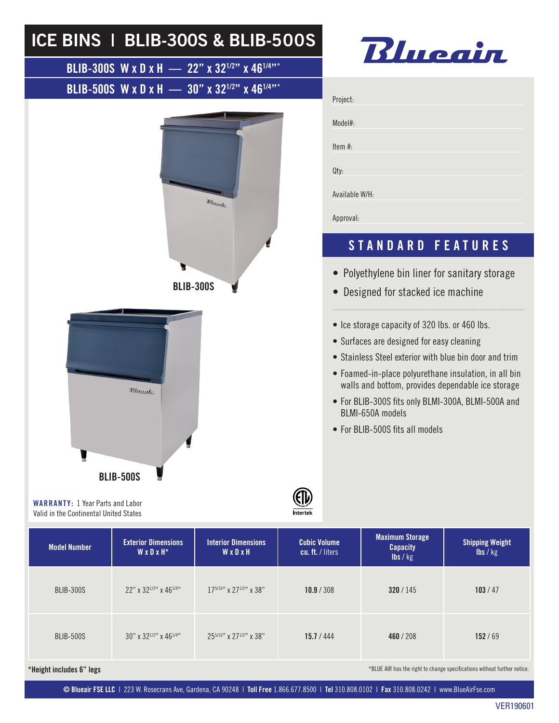## ICE BINS | BLIB-300S & BLIB-500S Blueain BLIB-300S W x D x H — 22" x 32<sup>1/2"</sup> x 46<sup>1/4"\*</sup> BLIB-500S W x D x H —  $30''$  x  $32^{1/2''}$  x  $46^{1/4''*}$ Project: Model#:

Item #:

Qty:

Available W/H:

Approval:



## STANDARD FEATURES

- Polyethylene bin liner for sanitary storage
- Designed for stacked ice machine
- Ice storage capacity of 320 lbs. or 460 lbs.
- Surfaces are designed for easy cleaning
- Stainless Steel exterior with blue bin door and trim
- Foamed-in-place polyurethane insulation, in all bin walls and bottom, provides dependable ice storage
- For BLIB-300S fits only BLMI-300A, BLMI-500A and BLMI-650A models
- For BLIB-500S fits all models

WARRANTY: 1 Year Parts and Labor Valid in the Continental United States

BLIB-500S



| <b>Model Number</b> | <b>Exterior Dimensions</b><br>W x D x H <sup>*</sup> | <b>Interior Dimensions</b><br>WxDxH       | <b>Cubic Volume</b><br>cu. ft. / liters | <b>Maximum Storage</b><br><b>Capacity</b><br>$\mathsf{lbs} / \mathsf{kg}$ | <b>Shipping Weight</b><br>$\mathsf{lbs} / \mathsf{kg}$ |
|---------------------|------------------------------------------------------|-------------------------------------------|-----------------------------------------|---------------------------------------------------------------------------|--------------------------------------------------------|
| <b>BLIB-300S</b>    | $22"$ x $32^{1/2"$ x $46^{1/4"}$                     | $17^{5/16}$ " x 27 <sup>1/2</sup> " x 38" | 10.9 / 308                              | 320/145                                                                   | 103/47                                                 |
| <b>BLIB-500S</b>    | $30''$ x $32^{1/2''}$ x $46^{1/4''}$                 | 255/16" x 271/2" x 38"                    | 15.7 / 444                              | 460/208                                                                   | 152/69                                                 |

\*Height includes 6" legs \*blue and the right to change specifications without further notice.